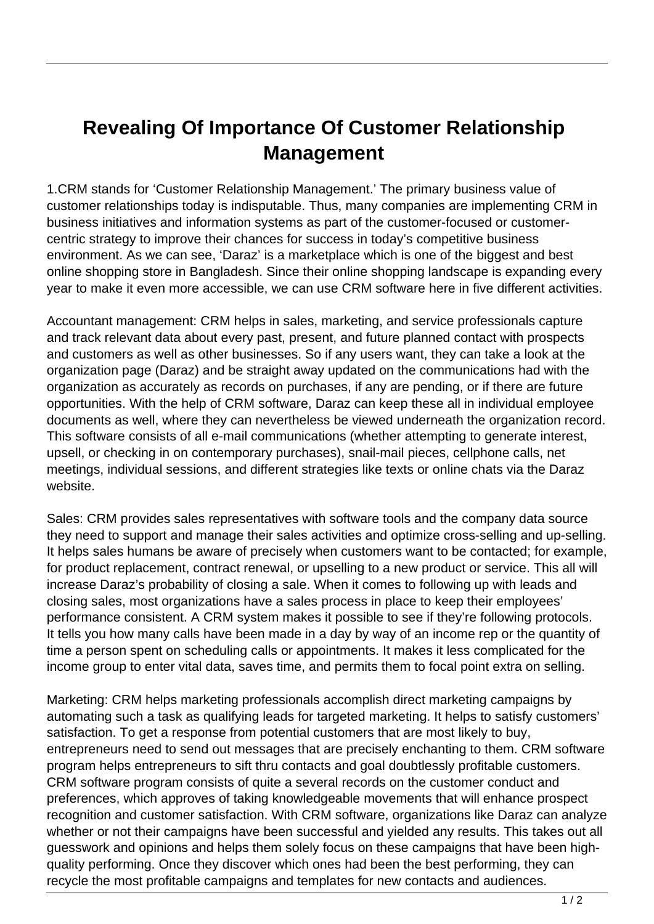## **Revealing Of Importance Of Customer Relationship Management**

1.CRM stands for 'Customer Relationship Management.' The primary business value of customer relationships today is indisputable. Thus, many companies are implementing CRM in business initiatives and information systems as part of the customer-focused or customercentric strategy to improve their chances for success in today's competitive business environment. As we can see, 'Daraz' is a marketplace which is one of the biggest and best online shopping store in Bangladesh. Since their online shopping landscape is expanding every year to make it even more accessible, we can use CRM software here in five different activities.

Accountant management: CRM helps in sales, marketing, and service professionals capture and track relevant data about every past, present, and future planned contact with prospects and customers as well as other businesses. So if any users want, they can take a look at the organization page (Daraz) and be straight away updated on the communications had with the organization as accurately as records on purchases, if any are pending, or if there are future opportunities. With the help of CRM software, Daraz can keep these all in individual employee documents as well, where they can nevertheless be viewed underneath the organization record. This software consists of all e-mail communications (whether attempting to generate interest, upsell, or checking in on contemporary purchases), snail-mail pieces, cellphone calls, net meetings, individual sessions, and different strategies like texts or online chats via the Daraz website.

Sales: CRM provides sales representatives with software tools and the company data source they need to support and manage their sales activities and optimize cross-selling and up-selling. It helps sales humans be aware of precisely when customers want to be contacted; for example, for product replacement, contract renewal, or upselling to a new product or service. This all will increase Daraz's probability of closing a sale. When it comes to following up with leads and closing sales, most organizations have a sales process in place to keep their employees' performance consistent. A CRM system makes it possible to see if they're following protocols. It tells you how many calls have been made in a day by way of an income rep or the quantity of time a person spent on scheduling calls or appointments. It makes it less complicated for the income group to enter vital data, saves time, and permits them to focal point extra on selling.

Marketing: CRM helps marketing professionals accomplish direct marketing campaigns by automating such a task as qualifying leads for targeted marketing. It helps to satisfy customers' satisfaction. To get a response from potential customers that are most likely to buy, entrepreneurs need to send out messages that are precisely enchanting to them. CRM software program helps entrepreneurs to sift thru contacts and goal doubtlessly profitable customers. CRM software program consists of quite a several records on the customer conduct and preferences, which approves of taking knowledgeable movements that will enhance prospect recognition and customer satisfaction. With CRM software, organizations like Daraz can analyze whether or not their campaigns have been successful and yielded any results. This takes out all guesswork and opinions and helps them solely focus on these campaigns that have been highquality performing. Once they discover which ones had been the best performing, they can recycle the most profitable campaigns and templates for new contacts and audiences.